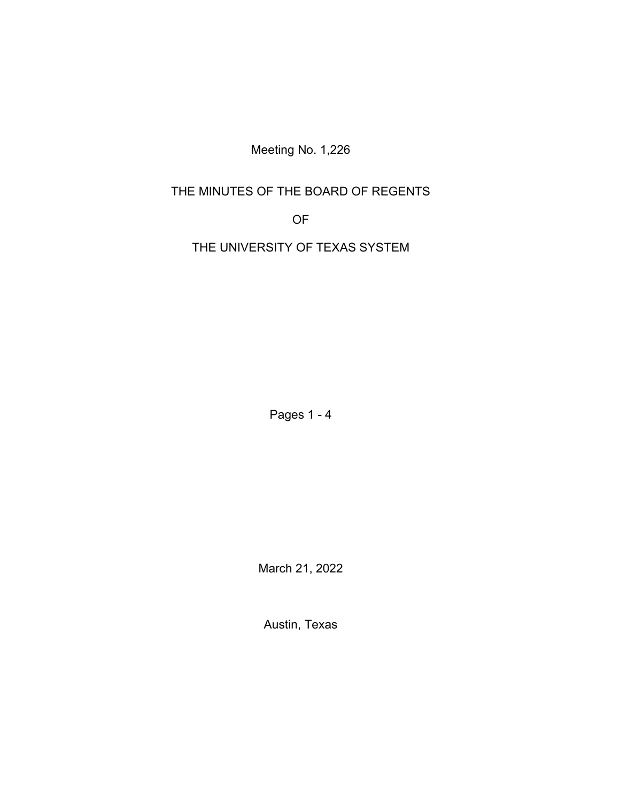Meeting No. 1,226

# THE MINUTES OF THE BOARD OF REGENTS

OF

THE UNIVERSITY OF TEXAS SYSTEM

Pages 1 - 4

March 21, 2022

Austin, Texas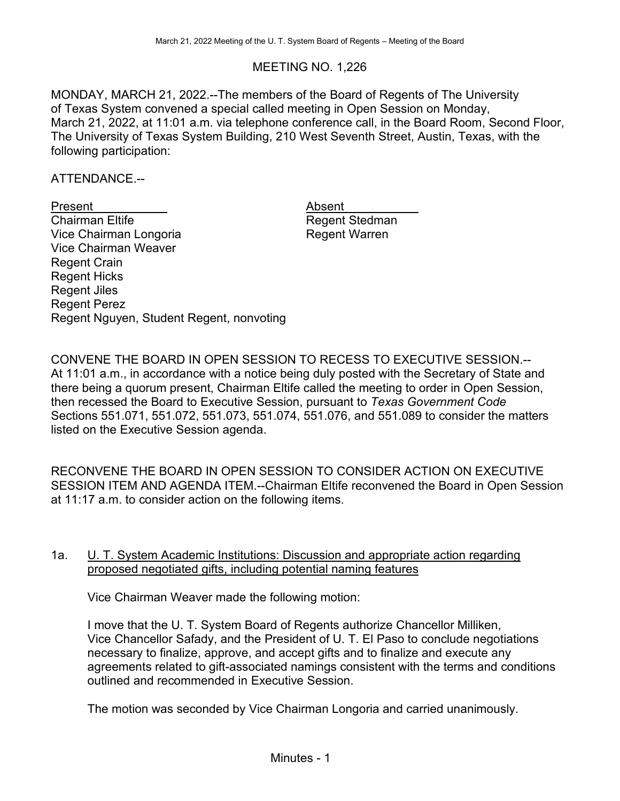## MEETING NO. 1,226

MONDAY, MARCH 21, 2022.--The members of the Board of Regents of The University of Texas System convened a special called meeting in Open Session on Monday, March 21, 2022, at 11:01 a.m. via telephone conference call, in the Board Room, Second Floor, The University of Texas System Building, 210 West Seventh Street, Austin, Texas, with the following participation:

ATTENDANCE.--

Present Absent Absent<br>
Chairman Eltife Chairman Absent Vice Chairman Longoria **Regent Warren** Vice Chairman Weaver Regent Crain Regent Hicks Regent Jiles Regent Perez Regent Nguyen, Student Regent, nonvoting

Regent Stedman

CONVENE THE BOARD IN OPEN SESSION TO RECESS TO EXECUTIVE SESSION.-- At 11:01 a.m., in accordance with a notice being duly posted with the Secretary of State and there being a quorum present, Chairman Eltife called the meeting to order in Open Session, then recessed the Board to Executive Session, pursuant to *Texas Government Code* Sections 551.071, 551.072, 551.073, 551.074, 551.076, and 551.089 to consider the matters listed on the Executive Session agenda.

RECONVENE THE BOARD IN OPEN SESSION TO CONSIDER ACTION ON EXECUTIVE SESSION ITEM AND AGENDA ITEM.--Chairman Eltife reconvened the Board in Open Session at 11:17 a.m. to consider action on the following items.

### 1a. **U. T. System Academic Institutions: Discussion and appropriate action regarding** proposed negotiated gifts, including potential naming features

Vice Chairman Weaver made the following motion:

I move that the U. T. System Board of Regents authorize Chancellor Milliken, Vice Chancellor Safady, and the President of U. T. El Paso to conclude negotiations necessary to finalize, approve, and accept gifts and to finalize and execute any agreements related to gift-associated namings consistent with the terms and conditions outlined and recommended in Executive Session.

The motion was seconded by Vice Chairman Longoria and carried unanimously.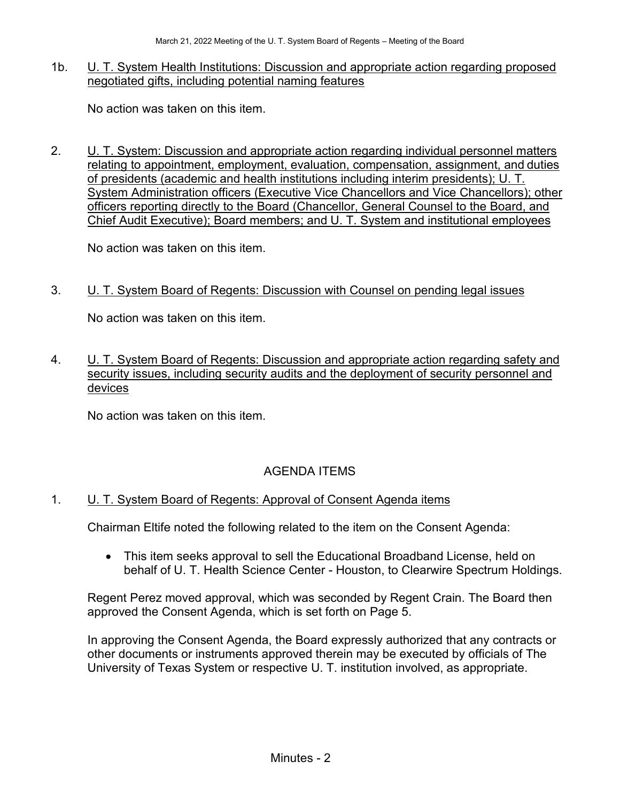#### 1b. U. T. System Health Institutions: Discussion and appropriate action regarding proposed negotiated gifts, including potential naming features

No action was taken on this item.

2. U. T. System: Discussion and appropriate action regarding individual personnel matters relating to appointment, employment, evaluation, compensation, assignment, and duties of presidents (academic and health institutions including interim presidents); U. T. System Administration officers (Executive Vice Chancellors and Vice Chancellors); other officers reporting directly to the Board (Chancellor, General Counsel to the Board, and Chief Audit Executive); Board members; and U. T. System and institutional employees

No action was taken on this item.

3. U. T. System Board of Regents: Discussion with Counsel on pending legal issues

No action was taken on this item.

4. U. T. System Board of Regents: Discussion and appropriate action regarding safety and security issues, including security audits and the deployment of security personnel and devices

No action was taken on this item.

# AGENDA ITEMS

### 1. U. T. System Board of Regents: Approval of Consent Agenda items

Chairman Eltife noted the following related to the item on the Consent Agenda:

• This item seeks approval to sell the Educational Broadband License, held on behalf of U. T. Health Science Center - Houston, to Clearwire Spectrum Holdings.

Regent Perez moved approval, which was seconded by Regent Crain. The Board then approved the Consent Agenda, which is set forth on Page 5.

In approving the Consent Agenda, the Board expressly authorized that any contracts or other documents or instruments approved therein may be executed by officials of The University of Texas System or respective U. T. institution involved, as appropriate.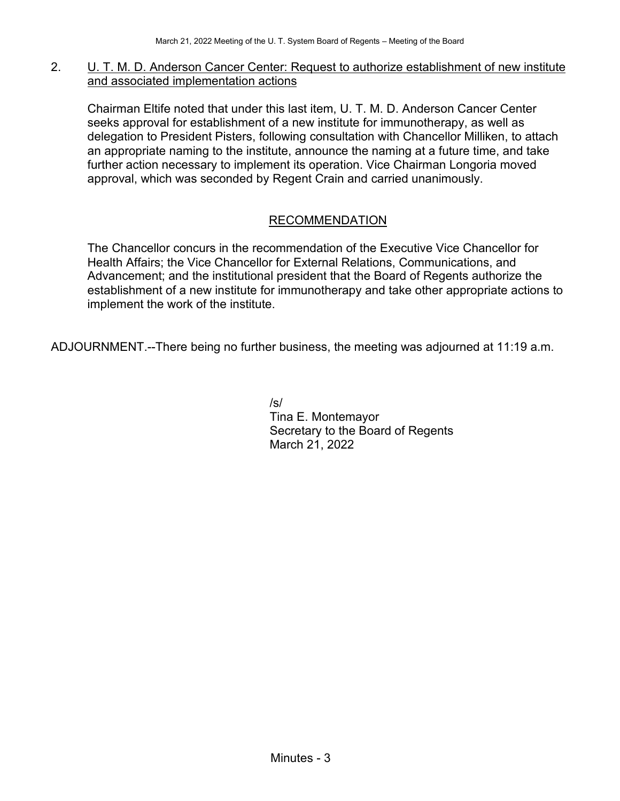#### 2. U. T. M. D. Anderson Cancer Center: Request to authorize establishment of new institute and associated implementation actions

Chairman Eltife noted that under this last item, U. T. M. D. Anderson Cancer Center seeks approval for establishment of a new institute for immunotherapy, as well as delegation to President Pisters, following consultation with Chancellor Milliken, to attach an appropriate naming to the institute, announce the naming at a future time, and take further action necessary to implement its operation. Vice Chairman Longoria moved approval, which was seconded by Regent Crain and carried unanimously.

### RECOMMENDATION

The Chancellor concurs in the recommendation of the Executive Vice Chancellor for Health Affairs; the Vice Chancellor for External Relations, Communications, and Advancement; and the institutional president that the Board of Regents authorize the establishment of a new institute for immunotherapy and take other appropriate actions to implement the work of the institute.

ADJOURNMENT.--There being no further business, the meeting was adjourned at 11:19 a.m.

/s/ Tina E. Montemayor Secretary to the Board of Regents March 21, 2022